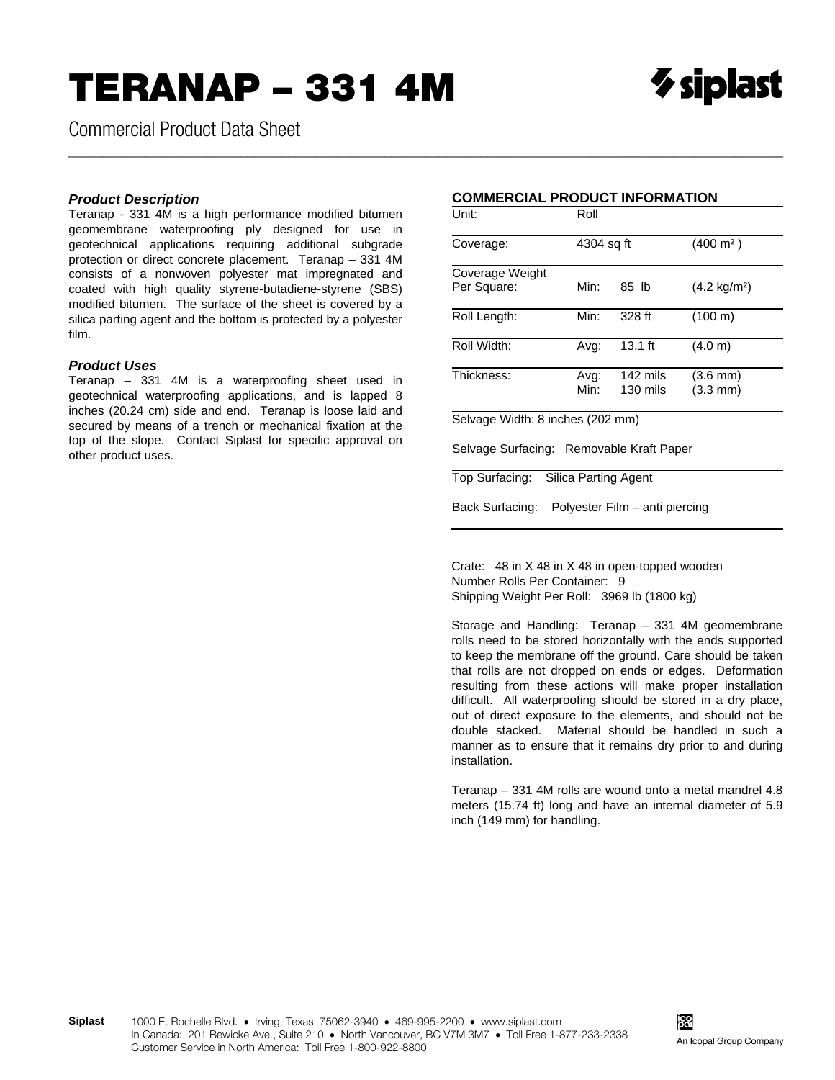Commercial Product Data Sheet

## *Product Description*

Teranap - 331 4M is a high performance modified bitumen geomembrane waterproofing ply designed for use in geotechnical applications requiring additional subgrade protection or direct concrete placement. Teranap – 331 4M consists of a nonwoven polyester mat impregnated and coated with high quality styrene-butadiene-styrene (SBS) modified bitumen. The surface of the sheet is covered by a silica parting agent and the bottom is protected by a polyester film.

## *Product Uses*

Teranap – 331 4M is a waterproofing sheet used in geotechnical waterproofing applications, and is lapped 8 inches (20.24 cm) side and end. Teranap is loose laid and secured by means of a trench or mechanical fixation at the top of the slope. Contact Siplast for specific approval on other product uses.

## **COMMERCIAL PRODUCT INFORMATION**

\_\_\_\_\_\_\_\_\_\_\_\_\_\_\_\_\_\_\_\_\_\_\_\_\_\_\_\_\_\_\_\_\_\_\_\_\_\_\_\_\_\_\_\_\_\_\_\_\_\_\_\_\_\_\_\_\_\_\_\_\_\_\_\_\_\_\_\_\_\_\_\_\_\_\_\_\_\_\_\_\_\_\_\_\_\_\_\_\_\_\_\_\_\_\_\_\_\_\_\_\_\_\_\_

| Unit:                                    | Roll       |                                |                        |
|------------------------------------------|------------|--------------------------------|------------------------|
| Coverage:                                | 4304 sq ft |                                | $(400 \; \text{m}^2)$  |
| Coverage Weight                          |            |                                |                        |
| Per Square:                              | Min:       | 85 lb                          | $(4.2 \text{ kg/m}^2)$ |
| Roll Length:                             | Min:       | 328 ft                         | (100 m)                |
| Roll Width:                              | Avg:       | $13.1$ ft                      | (4.0 m)                |
| Thickness:                               | Avg:       | 142 mils                       | $(3.6 \text{ mm})$     |
|                                          | Min:       | 130 mils                       | $(3.3 \text{ mm})$     |
| Selvage Width: 8 inches (202 mm)         |            |                                |                        |
| Selvage Surfacing: Removable Kraft Paper |            |                                |                        |
| Top Surfacing: Silica Parting Agent      |            |                                |                        |
| Back Surfacing:                          |            | Polyester Film – anti piercing |                        |

Crate: 48 in X 48 in X 48 in open-topped wooden Number Rolls Per Container: 9 Shipping Weight Per Roll: 3969 lb (1800 kg)

Storage and Handling: Teranap – 331 4M geomembrane rolls need to be stored horizontally with the ends supported to keep the membrane off the ground. Care should be taken that rolls are not dropped on ends or edges. Deformation resulting from these actions will make proper installation difficult. All waterproofing should be stored in a dry place, out of direct exposure to the elements, and should not be double stacked. Material should be handled in such a manner as to ensure that it remains dry prior to and during installation.

Teranap – 331 4M rolls are wound onto a metal mandrel 4.8 meters (15.74 ft) long and have an internal diameter of 5.9 inch (149 mm) for handling.